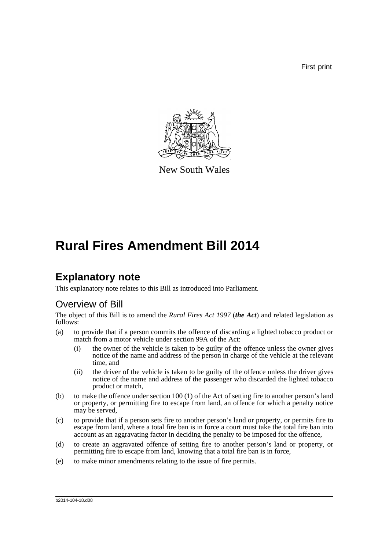First print



New South Wales

# **Rural Fires Amendment Bill 2014**

# **Explanatory note**

This explanatory note relates to this Bill as introduced into Parliament.

## Overview of Bill

The object of this Bill is to amend the *Rural Fires Act 1997* (*the Act*) and related legislation as follows:

- (a) to provide that if a person commits the offence of discarding a lighted tobacco product or match from a motor vehicle under section 99A of the Act:
	- (i) the owner of the vehicle is taken to be guilty of the offence unless the owner gives notice of the name and address of the person in charge of the vehicle at the relevant time, and
	- (ii) the driver of the vehicle is taken to be guilty of the offence unless the driver gives notice of the name and address of the passenger who discarded the lighted tobacco product or match,
- (b) to make the offence under section 100 (1) of the Act of setting fire to another person's land or property, or permitting fire to escape from land, an offence for which a penalty notice may be served,
- (c) to provide that if a person sets fire to another person's land or property, or permits fire to escape from land, where a total fire ban is in force a court must take the total fire ban into account as an aggravating factor in deciding the penalty to be imposed for the offence,
- (d) to create an aggravated offence of setting fire to another person's land or property, or permitting fire to escape from land, knowing that a total fire ban is in force,
- (e) to make minor amendments relating to the issue of fire permits.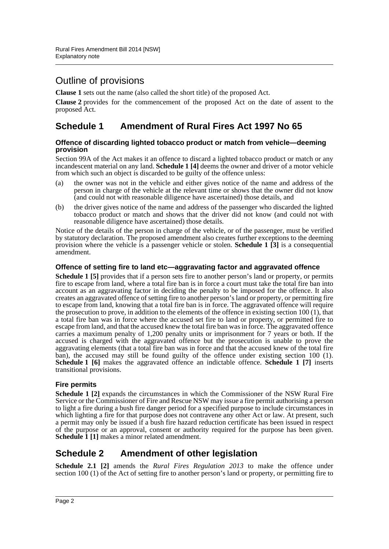### Outline of provisions

**Clause 1** sets out the name (also called the short title) of the proposed Act.

**Clause 2** provides for the commencement of the proposed Act on the date of assent to the proposed Act.

### **Schedule 1 Amendment of Rural Fires Act 1997 No 65**

#### **Offence of discarding lighted tobacco product or match from vehicle—deeming provision**

Section 99A of the Act makes it an offence to discard a lighted tobacco product or match or any incandescent material on any land. **Schedule 1 [4]** deems the owner and driver of a motor vehicle from which such an object is discarded to be guilty of the offence unless:

- (a) the owner was not in the vehicle and either gives notice of the name and address of the person in charge of the vehicle at the relevant time or shows that the owner did not know (and could not with reasonable diligence have ascertained) those details, and
- (b) the driver gives notice of the name and address of the passenger who discarded the lighted tobacco product or match and shows that the driver did not know (and could not with reasonable diligence have ascertained) those details.

Notice of the details of the person in charge of the vehicle, or of the passenger, must be verified by statutory declaration. The proposed amendment also creates further exceptions to the deeming provision where the vehicle is a passenger vehicle or stolen. **Schedule 1 [3]** is a consequential amendment.

#### **Offence of setting fire to land etc—aggravating factor and aggravated offence**

**Schedule 1 [5]** provides that if a person sets fire to another person's land or property, or permits fire to escape from land, where a total fire ban is in force a court must take the total fire ban into account as an aggravating factor in deciding the penalty to be imposed for the offence. It also creates an aggravated offence of setting fire to another person's land or property, or permitting fire to escape from land, knowing that a total fire ban is in force. The aggravated offence will require the prosecution to prove, in addition to the elements of the offence in existing section 100 (1), that a total fire ban was in force where the accused set fire to land or property, or permitted fire to escape from land, and that the accused knew the total fire ban was in force. The aggravated offence carries a maximum penalty of 1,200 penalty units or imprisonment for 7 years or both. If the accused is charged with the aggravated offence but the prosecution is unable to prove the aggravating elements (that a total fire ban was in force and that the accused knew of the total fire ban), the accused may still be found guilty of the offence under existing section 100 (1). **Schedule 1 [6]** makes the aggravated offence an indictable offence. **Schedule 1 [7]** inserts transitional provisions.

### **Fire permits**

**Schedule 1 [2]** expands the circumstances in which the Commissioner of the NSW Rural Fire Service or the Commissioner of Fire and Rescue NSW may issue a fire permit authorising a person to light a fire during a bush fire danger period for a specified purpose to include circumstances in which lighting a fire for that purpose does not contravene any other Act or law. At present, such a permit may only be issued if a bush fire hazard reduction certificate has been issued in respect of the purpose or an approval, consent or authority required for the purpose has been given. **Schedule 1 [1]** makes a minor related amendment.

### **Schedule 2 Amendment of other legislation**

**Schedule 2.1 [2]** amends the *Rural Fires Regulation 2013* to make the offence under section 100 (1) of the Act of setting fire to another person's land or property, or permitting fire to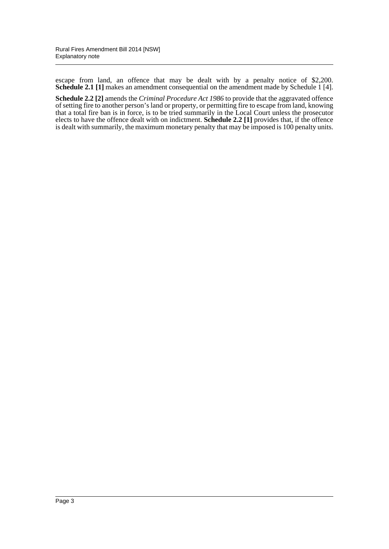escape from land, an offence that may be dealt with by a penalty notice of \$2,200. **Schedule 2.1 [1]** makes an amendment consequential on the amendment made by Schedule 1 [4].

**Schedule 2.2 [2]** amends the *Criminal Procedure Act 1986* to provide that the aggravated offence of setting fire to another person's land or property, or permitting fire to escape from land, knowing that a total fire ban is in force, is to be tried summarily in the Local Court unless the prosecutor elects to have the offence dealt with on indictment. **Schedule 2.2 [1]** provides that, if the offence is dealt with summarily, the maximum monetary penalty that may be imposed is 100 penalty units.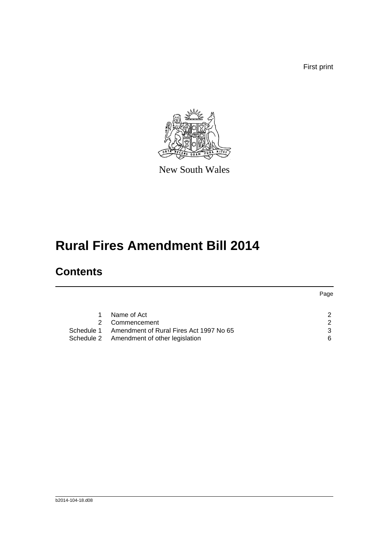First print



New South Wales

# **Rural Fires Amendment Bill 2014**

# **Contents**

|            |                                           | Page                 |
|------------|-------------------------------------------|----------------------|
|            | Name of Act                               | 2                    |
| 2.         | Commencement                              | $\mathcal{P} \equiv$ |
| Schedule 1 | Amendment of Rural Fires Act 1997 No 65   | 3                    |
|            | Schedule 2 Amendment of other legislation | 6                    |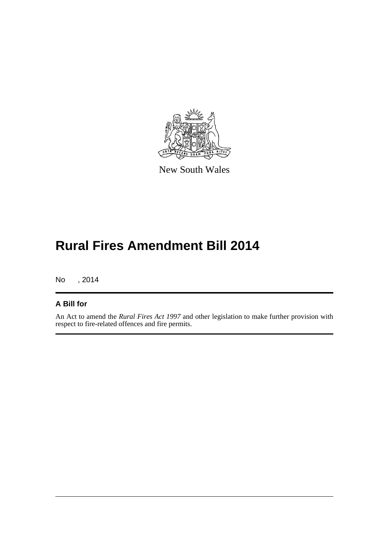

New South Wales

# **Rural Fires Amendment Bill 2014**

No , 2014

### **A Bill for**

An Act to amend the *Rural Fires Act 1997* and other legislation to make further provision with respect to fire-related offences and fire permits.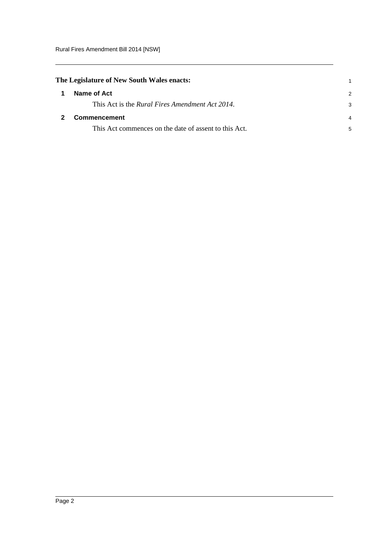<span id="page-5-1"></span><span id="page-5-0"></span>

| The Legislature of New South Wales enacts: |                                                         |   |
|--------------------------------------------|---------------------------------------------------------|---|
| 1                                          | Name of Act                                             | 2 |
|                                            | This Act is the <i>Rural Fires Amendment Act 2014</i> . |   |
|                                            | <b>Commencement</b>                                     | 4 |
|                                            | This Act commences on the date of assent to this Act.   | 5 |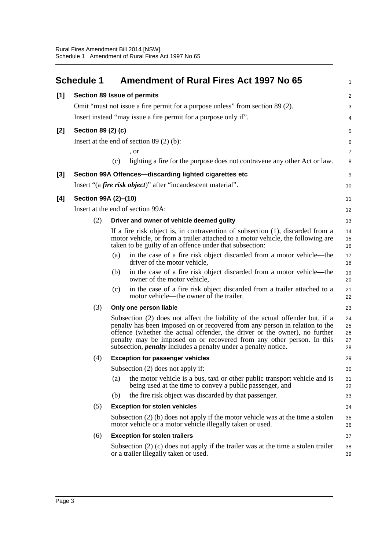<span id="page-6-0"></span>

| <b>Section 89 Issue of permits</b><br>[1]<br>Omit "must not issue a fire permit for a purpose unless" from section 89 (2).<br>Insert instead "may issue a fire permit for a purpose only if".<br>Section 89 (2) (c)<br>$[2]$<br>Insert at the end of section $89(2)$ (b):<br>, or<br>lighting a fire for the purpose does not contravene any other Act or law.<br>(c)<br>$[3]$<br>Section 99A Offences-discarding lighted cigarettes etc<br>Insert "(a <i>fire risk object</i> )" after "incandescent material".<br>[4]<br>Section 99A (2)-(10)<br>Insert at the end of section 99A:<br>(2)<br>Driver and owner of vehicle deemed guilty<br>If a fire risk object is, in contravention of subsection (1), discarded from a<br>motor vehicle, or from a trailer attached to a motor vehicle, the following are<br>taken to be guilty of an offence under that subsection:<br>in the case of a fire risk object discarded from a motor vehicle—the<br>(a)<br>driver of the motor vehicle,<br>in the case of a fire risk object discarded from a motor vehicle—the<br>(b)<br>owner of the motor vehicle,<br>in the case of a fire risk object discarded from a trailer attached to a<br>(c)<br>motor vehicle—the owner of the trailer.<br>(3)<br>Only one person liable<br>Subsection (2) does not affect the liability of the actual offender but, if a<br>penalty has been imposed on or recovered from any person in relation to the<br>offence (whether the actual offender, the driver or the owner), no further<br>penalty may be imposed on or recovered from any other person. In this<br>subsection, <i>penalty</i> includes a penalty under a penalty notice.<br><b>Exception for passenger vehicles</b><br>(4)<br>Subsection (2) does not apply if:<br>the motor vehicle is a bus, taxi or other public transport vehicle and is<br>(a)<br>being used at the time to convey a public passenger, and<br>the fire risk object was discarded by that passenger.<br>(b)<br>(5)<br><b>Exception for stolen vehicles</b><br>Subsection $(2)$ (b) does not apply if the motor vehicle was at the time a stolen<br>motor vehicle or a motor vehicle illegally taken or used.<br>(6)<br><b>Exception for stolen trailers</b><br>Subsection $(2)$ (c) does not apply if the trailer was at the time a stolen trailer<br>or a trailer illegally taken or used. | <b>Schedule 1</b> | <b>Amendment of Rural Fires Act 1997 No 65</b> | $\mathbf{1}$               |
|-------------------------------------------------------------------------------------------------------------------------------------------------------------------------------------------------------------------------------------------------------------------------------------------------------------------------------------------------------------------------------------------------------------------------------------------------------------------------------------------------------------------------------------------------------------------------------------------------------------------------------------------------------------------------------------------------------------------------------------------------------------------------------------------------------------------------------------------------------------------------------------------------------------------------------------------------------------------------------------------------------------------------------------------------------------------------------------------------------------------------------------------------------------------------------------------------------------------------------------------------------------------------------------------------------------------------------------------------------------------------------------------------------------------------------------------------------------------------------------------------------------------------------------------------------------------------------------------------------------------------------------------------------------------------------------------------------------------------------------------------------------------------------------------------------------------------------------------------------------------------------------------------------------------------------------------------------------------------------------------------------------------------------------------------------------------------------------------------------------------------------------------------------------------------------------------------------------------------------------------------------------------------------------------------------------------------------------------------------------|-------------------|------------------------------------------------|----------------------------|
|                                                                                                                                                                                                                                                                                                                                                                                                                                                                                                                                                                                                                                                                                                                                                                                                                                                                                                                                                                                                                                                                                                                                                                                                                                                                                                                                                                                                                                                                                                                                                                                                                                                                                                                                                                                                                                                                                                                                                                                                                                                                                                                                                                                                                                                                                                                                                             |                   |                                                | $\overline{2}$             |
|                                                                                                                                                                                                                                                                                                                                                                                                                                                                                                                                                                                                                                                                                                                                                                                                                                                                                                                                                                                                                                                                                                                                                                                                                                                                                                                                                                                                                                                                                                                                                                                                                                                                                                                                                                                                                                                                                                                                                                                                                                                                                                                                                                                                                                                                                                                                                             |                   |                                                | 3                          |
|                                                                                                                                                                                                                                                                                                                                                                                                                                                                                                                                                                                                                                                                                                                                                                                                                                                                                                                                                                                                                                                                                                                                                                                                                                                                                                                                                                                                                                                                                                                                                                                                                                                                                                                                                                                                                                                                                                                                                                                                                                                                                                                                                                                                                                                                                                                                                             |                   |                                                | 4                          |
|                                                                                                                                                                                                                                                                                                                                                                                                                                                                                                                                                                                                                                                                                                                                                                                                                                                                                                                                                                                                                                                                                                                                                                                                                                                                                                                                                                                                                                                                                                                                                                                                                                                                                                                                                                                                                                                                                                                                                                                                                                                                                                                                                                                                                                                                                                                                                             |                   |                                                | 5                          |
|                                                                                                                                                                                                                                                                                                                                                                                                                                                                                                                                                                                                                                                                                                                                                                                                                                                                                                                                                                                                                                                                                                                                                                                                                                                                                                                                                                                                                                                                                                                                                                                                                                                                                                                                                                                                                                                                                                                                                                                                                                                                                                                                                                                                                                                                                                                                                             |                   |                                                | 6                          |
|                                                                                                                                                                                                                                                                                                                                                                                                                                                                                                                                                                                                                                                                                                                                                                                                                                                                                                                                                                                                                                                                                                                                                                                                                                                                                                                                                                                                                                                                                                                                                                                                                                                                                                                                                                                                                                                                                                                                                                                                                                                                                                                                                                                                                                                                                                                                                             |                   |                                                | $\overline{7}$             |
|                                                                                                                                                                                                                                                                                                                                                                                                                                                                                                                                                                                                                                                                                                                                                                                                                                                                                                                                                                                                                                                                                                                                                                                                                                                                                                                                                                                                                                                                                                                                                                                                                                                                                                                                                                                                                                                                                                                                                                                                                                                                                                                                                                                                                                                                                                                                                             |                   |                                                | 8                          |
|                                                                                                                                                                                                                                                                                                                                                                                                                                                                                                                                                                                                                                                                                                                                                                                                                                                                                                                                                                                                                                                                                                                                                                                                                                                                                                                                                                                                                                                                                                                                                                                                                                                                                                                                                                                                                                                                                                                                                                                                                                                                                                                                                                                                                                                                                                                                                             |                   |                                                | $\boldsymbol{9}$           |
|                                                                                                                                                                                                                                                                                                                                                                                                                                                                                                                                                                                                                                                                                                                                                                                                                                                                                                                                                                                                                                                                                                                                                                                                                                                                                                                                                                                                                                                                                                                                                                                                                                                                                                                                                                                                                                                                                                                                                                                                                                                                                                                                                                                                                                                                                                                                                             |                   |                                                | 10                         |
|                                                                                                                                                                                                                                                                                                                                                                                                                                                                                                                                                                                                                                                                                                                                                                                                                                                                                                                                                                                                                                                                                                                                                                                                                                                                                                                                                                                                                                                                                                                                                                                                                                                                                                                                                                                                                                                                                                                                                                                                                                                                                                                                                                                                                                                                                                                                                             |                   |                                                | 11                         |
|                                                                                                                                                                                                                                                                                                                                                                                                                                                                                                                                                                                                                                                                                                                                                                                                                                                                                                                                                                                                                                                                                                                                                                                                                                                                                                                                                                                                                                                                                                                                                                                                                                                                                                                                                                                                                                                                                                                                                                                                                                                                                                                                                                                                                                                                                                                                                             |                   |                                                | 12                         |
|                                                                                                                                                                                                                                                                                                                                                                                                                                                                                                                                                                                                                                                                                                                                                                                                                                                                                                                                                                                                                                                                                                                                                                                                                                                                                                                                                                                                                                                                                                                                                                                                                                                                                                                                                                                                                                                                                                                                                                                                                                                                                                                                                                                                                                                                                                                                                             |                   |                                                | 13                         |
|                                                                                                                                                                                                                                                                                                                                                                                                                                                                                                                                                                                                                                                                                                                                                                                                                                                                                                                                                                                                                                                                                                                                                                                                                                                                                                                                                                                                                                                                                                                                                                                                                                                                                                                                                                                                                                                                                                                                                                                                                                                                                                                                                                                                                                                                                                                                                             |                   |                                                | 14<br>15<br>16             |
|                                                                                                                                                                                                                                                                                                                                                                                                                                                                                                                                                                                                                                                                                                                                                                                                                                                                                                                                                                                                                                                                                                                                                                                                                                                                                                                                                                                                                                                                                                                                                                                                                                                                                                                                                                                                                                                                                                                                                                                                                                                                                                                                                                                                                                                                                                                                                             |                   |                                                | 17<br>18                   |
|                                                                                                                                                                                                                                                                                                                                                                                                                                                                                                                                                                                                                                                                                                                                                                                                                                                                                                                                                                                                                                                                                                                                                                                                                                                                                                                                                                                                                                                                                                                                                                                                                                                                                                                                                                                                                                                                                                                                                                                                                                                                                                                                                                                                                                                                                                                                                             |                   |                                                | 19<br>20                   |
|                                                                                                                                                                                                                                                                                                                                                                                                                                                                                                                                                                                                                                                                                                                                                                                                                                                                                                                                                                                                                                                                                                                                                                                                                                                                                                                                                                                                                                                                                                                                                                                                                                                                                                                                                                                                                                                                                                                                                                                                                                                                                                                                                                                                                                                                                                                                                             |                   |                                                | 21<br>22                   |
|                                                                                                                                                                                                                                                                                                                                                                                                                                                                                                                                                                                                                                                                                                                                                                                                                                                                                                                                                                                                                                                                                                                                                                                                                                                                                                                                                                                                                                                                                                                                                                                                                                                                                                                                                                                                                                                                                                                                                                                                                                                                                                                                                                                                                                                                                                                                                             |                   |                                                | 23                         |
|                                                                                                                                                                                                                                                                                                                                                                                                                                                                                                                                                                                                                                                                                                                                                                                                                                                                                                                                                                                                                                                                                                                                                                                                                                                                                                                                                                                                                                                                                                                                                                                                                                                                                                                                                                                                                                                                                                                                                                                                                                                                                                                                                                                                                                                                                                                                                             |                   |                                                | 24<br>25<br>26<br>27<br>28 |
|                                                                                                                                                                                                                                                                                                                                                                                                                                                                                                                                                                                                                                                                                                                                                                                                                                                                                                                                                                                                                                                                                                                                                                                                                                                                                                                                                                                                                                                                                                                                                                                                                                                                                                                                                                                                                                                                                                                                                                                                                                                                                                                                                                                                                                                                                                                                                             |                   |                                                | 29                         |
|                                                                                                                                                                                                                                                                                                                                                                                                                                                                                                                                                                                                                                                                                                                                                                                                                                                                                                                                                                                                                                                                                                                                                                                                                                                                                                                                                                                                                                                                                                                                                                                                                                                                                                                                                                                                                                                                                                                                                                                                                                                                                                                                                                                                                                                                                                                                                             |                   |                                                | 30                         |
|                                                                                                                                                                                                                                                                                                                                                                                                                                                                                                                                                                                                                                                                                                                                                                                                                                                                                                                                                                                                                                                                                                                                                                                                                                                                                                                                                                                                                                                                                                                                                                                                                                                                                                                                                                                                                                                                                                                                                                                                                                                                                                                                                                                                                                                                                                                                                             |                   |                                                | 31<br>32                   |
|                                                                                                                                                                                                                                                                                                                                                                                                                                                                                                                                                                                                                                                                                                                                                                                                                                                                                                                                                                                                                                                                                                                                                                                                                                                                                                                                                                                                                                                                                                                                                                                                                                                                                                                                                                                                                                                                                                                                                                                                                                                                                                                                                                                                                                                                                                                                                             |                   |                                                | 33                         |
|                                                                                                                                                                                                                                                                                                                                                                                                                                                                                                                                                                                                                                                                                                                                                                                                                                                                                                                                                                                                                                                                                                                                                                                                                                                                                                                                                                                                                                                                                                                                                                                                                                                                                                                                                                                                                                                                                                                                                                                                                                                                                                                                                                                                                                                                                                                                                             |                   |                                                | 34                         |
|                                                                                                                                                                                                                                                                                                                                                                                                                                                                                                                                                                                                                                                                                                                                                                                                                                                                                                                                                                                                                                                                                                                                                                                                                                                                                                                                                                                                                                                                                                                                                                                                                                                                                                                                                                                                                                                                                                                                                                                                                                                                                                                                                                                                                                                                                                                                                             |                   |                                                | 35<br>36                   |
|                                                                                                                                                                                                                                                                                                                                                                                                                                                                                                                                                                                                                                                                                                                                                                                                                                                                                                                                                                                                                                                                                                                                                                                                                                                                                                                                                                                                                                                                                                                                                                                                                                                                                                                                                                                                                                                                                                                                                                                                                                                                                                                                                                                                                                                                                                                                                             |                   |                                                | 37                         |
|                                                                                                                                                                                                                                                                                                                                                                                                                                                                                                                                                                                                                                                                                                                                                                                                                                                                                                                                                                                                                                                                                                                                                                                                                                                                                                                                                                                                                                                                                                                                                                                                                                                                                                                                                                                                                                                                                                                                                                                                                                                                                                                                                                                                                                                                                                                                                             |                   |                                                | 38<br>39                   |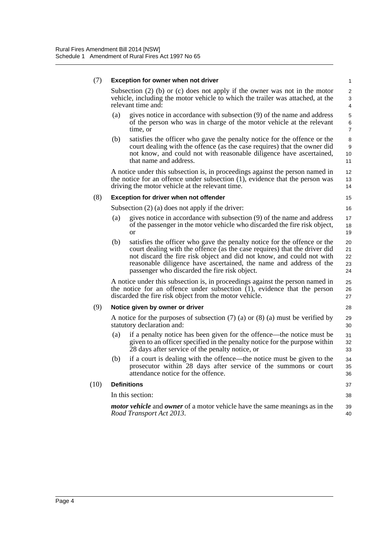*Road Transport Act 2013*.

#### (7) **Exception for owner when not driver** Subsection (2) (b) or (c) does not apply if the owner was not in the motor vehicle, including the motor vehicle to which the trailer was attached, at the relevant time and: (a) gives notice in accordance with subsection (9) of the name and address of the person who was in charge of the motor vehicle at the relevant time, or (b) satisfies the officer who gave the penalty notice for the offence or the court dealing with the offence (as the case requires) that the owner did not know, and could not with reasonable diligence have ascertained, that name and address. A notice under this subsection is, in proceedings against the person named in the notice for an offence under subsection (1), evidence that the person was driving the motor vehicle at the relevant time. (8) **Exception for driver when not offender** Subsection (2) (a) does not apply if the driver: (a) gives notice in accordance with subsection (9) of the name and address of the passenger in the motor vehicle who discarded the fire risk object, or (b) satisfies the officer who gave the penalty notice for the offence or the court dealing with the offence (as the case requires) that the driver did not discard the fire risk object and did not know, and could not with reasonable diligence have ascertained, the name and address of the passenger who discarded the fire risk object. A notice under this subsection is, in proceedings against the person named in the notice for an offence under subsection (1), evidence that the person discarded the fire risk object from the motor vehicle. (9) **Notice given by owner or driver** A notice for the purposes of subsection (7) (a) or (8) (a) must be verified by statutory declaration and: (a) if a penalty notice has been given for the offence—the notice must be given to an officer specified in the penalty notice for the purpose within 28 days after service of the penalty notice, or (b) if a court is dealing with the offence—the notice must be given to the prosecutor within 28 days after service of the summons or court attendance notice for the offence. (10) **Definitions** In this section: *motor vehicle* and *owner* of a motor vehicle have the same meanings as in the 1 2 3 4 5 6 7 8 9 10 11 12 13 14 15 16 17 18 19 20 21 22 23 24 25 26 27 28 29 30 31 32 33 34 35 36 37 38 39

 $40$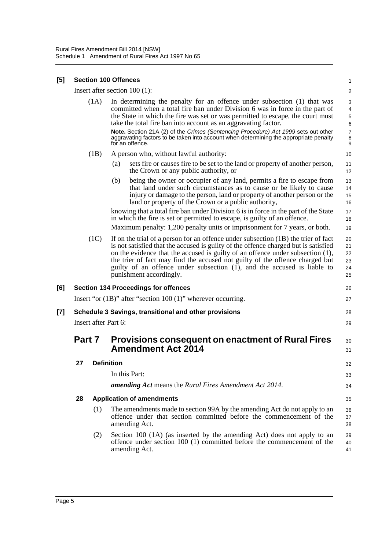#### **[5] Section 100 Offences**

Insert after section 100 (1):

2 3

1

|                                                                                      |        |                   | Insert after section $100(1)$ :                                                                                                                                                                                                                                                                                                                                                                                                                                                                               | $\overline{2}$                                                                |
|--------------------------------------------------------------------------------------|--------|-------------------|---------------------------------------------------------------------------------------------------------------------------------------------------------------------------------------------------------------------------------------------------------------------------------------------------------------------------------------------------------------------------------------------------------------------------------------------------------------------------------------------------------------|-------------------------------------------------------------------------------|
|                                                                                      |        | (1A)              | In determining the penalty for an offence under subsection (1) that was<br>committed when a total fire ban under Division 6 was in force in the part of<br>the State in which the fire was set or was permitted to escape, the court must<br>take the total fire ban into account as an aggravating factor.<br>Note. Section 21A (2) of the Crimes (Sentencing Procedure) Act 1999 sets out other<br>aggravating factors to be taken into account when determining the appropriate penalty<br>for an offence. | 3<br>$\overline{4}$<br>5<br>$6\phantom{1}6$<br>$\overline{7}$<br>$\bf 8$<br>9 |
|                                                                                      |        | (1B)              | A person who, without lawful authority:                                                                                                                                                                                                                                                                                                                                                                                                                                                                       | 10                                                                            |
|                                                                                      |        |                   | sets fire or causes fire to be set to the land or property of another person,<br>(a)<br>the Crown or any public authority, or                                                                                                                                                                                                                                                                                                                                                                                 | 11<br>12                                                                      |
|                                                                                      |        |                   | being the owner or occupier of any land, permits a fire to escape from<br>(b)<br>that land under such circumstances as to cause or be likely to cause<br>injury or damage to the person, land or property of another person or the<br>land or property of the Crown or a public authority,                                                                                                                                                                                                                    | 13<br>14<br>15<br>16                                                          |
|                                                                                      |        |                   | knowing that a total fire ban under Division 6 is in force in the part of the State<br>in which the fire is set or permitted to escape, is guilty of an offence.                                                                                                                                                                                                                                                                                                                                              | 17<br>18                                                                      |
|                                                                                      |        |                   | Maximum penalty: 1,200 penalty units or imprisonment for 7 years, or both.                                                                                                                                                                                                                                                                                                                                                                                                                                    | 19                                                                            |
|                                                                                      |        | (1C)              | If on the trial of a person for an offence under subsection (1B) the trier of fact<br>is not satisfied that the accused is guilty of the offence charged but is satisfied<br>on the evidence that the accused is guilty of an offence under subsection (1),<br>the trier of fact may find the accused not guilty of the offence charged but<br>guilty of an offence under subsection (1), and the accused is liable to<br>punishment accordingly.                                                             | 20<br>21<br>22<br>23<br>24<br>25                                              |
| [6]                                                                                  |        |                   | <b>Section 134 Proceedings for offences</b>                                                                                                                                                                                                                                                                                                                                                                                                                                                                   | 26                                                                            |
|                                                                                      |        |                   | Insert "or $(1B)$ " after "section $100 (1)$ " wherever occurring.                                                                                                                                                                                                                                                                                                                                                                                                                                            | 27                                                                            |
| [7]<br>Schedule 3 Savings, transitional and other provisions<br>Insert after Part 6: |        |                   | 28                                                                                                                                                                                                                                                                                                                                                                                                                                                                                                            |                                                                               |
|                                                                                      |        |                   |                                                                                                                                                                                                                                                                                                                                                                                                                                                                                                               | 29                                                                            |
|                                                                                      | Part 7 |                   | <b>Provisions consequent on enactment of Rural Fires</b><br><b>Amendment Act 2014</b>                                                                                                                                                                                                                                                                                                                                                                                                                         | 30<br>31                                                                      |
|                                                                                      | 27     | <b>Definition</b> |                                                                                                                                                                                                                                                                                                                                                                                                                                                                                                               | 32                                                                            |
|                                                                                      |        |                   | In this Part:                                                                                                                                                                                                                                                                                                                                                                                                                                                                                                 | 33                                                                            |
|                                                                                      |        |                   | amending Act means the Rural Fires Amendment Act 2014.                                                                                                                                                                                                                                                                                                                                                                                                                                                        | 34                                                                            |
|                                                                                      | 28     |                   | <b>Application of amendments</b>                                                                                                                                                                                                                                                                                                                                                                                                                                                                              | 35                                                                            |
|                                                                                      |        | (1)               | The amendments made to section 99A by the amending Act do not apply to an<br>offence under that section committed before the commencement of the<br>amending Act.                                                                                                                                                                                                                                                                                                                                             | 36<br>37<br>38                                                                |
|                                                                                      |        | (2)               | Section 100 (1A) (as inserted by the amending Act) does not apply to an<br>offence under section 100 (1) committed before the commencement of the<br>amending Act.                                                                                                                                                                                                                                                                                                                                            | 39<br>40<br>41                                                                |